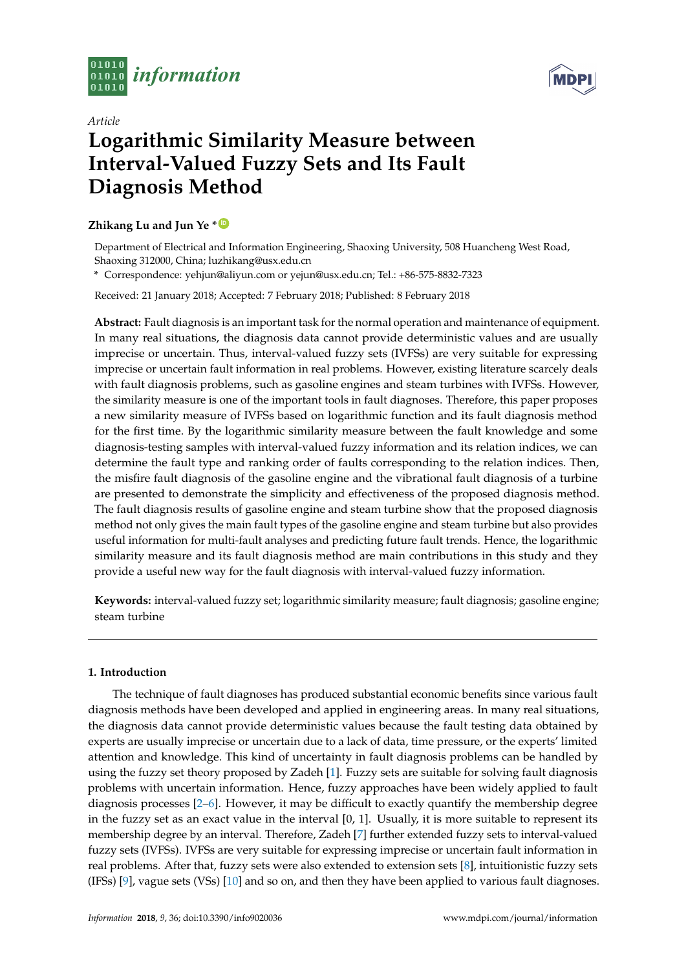



# *Article* **Logarithmic Similarity Measure between Interval-Valued Fuzzy Sets and Its Fault Diagnosis Method**

# **Zhikang Lu and Jun Ye \* [ID](https://orcid.org/0000-0003-2841-6529)**

Department of Electrical and Information Engineering, Shaoxing University, 508 Huancheng West Road, Shaoxing 312000, China; luzhikang@usx.edu.cn

**\*** Correspondence: yehjun@aliyun.com or yejun@usx.edu.cn; Tel.: +86-575-8832-7323

Received: 21 January 2018; Accepted: 7 February 2018; Published: 8 February 2018

**Abstract:** Fault diagnosis is an important task for the normal operation and maintenance of equipment. In many real situations, the diagnosis data cannot provide deterministic values and are usually imprecise or uncertain. Thus, interval-valued fuzzy sets (IVFSs) are very suitable for expressing imprecise or uncertain fault information in real problems. However, existing literature scarcely deals with fault diagnosis problems, such as gasoline engines and steam turbines with IVFSs. However, the similarity measure is one of the important tools in fault diagnoses. Therefore, this paper proposes a new similarity measure of IVFSs based on logarithmic function and its fault diagnosis method for the first time. By the logarithmic similarity measure between the fault knowledge and some diagnosis-testing samples with interval-valued fuzzy information and its relation indices, we can determine the fault type and ranking order of faults corresponding to the relation indices. Then, the misfire fault diagnosis of the gasoline engine and the vibrational fault diagnosis of a turbine are presented to demonstrate the simplicity and effectiveness of the proposed diagnosis method. The fault diagnosis results of gasoline engine and steam turbine show that the proposed diagnosis method not only gives the main fault types of the gasoline engine and steam turbine but also provides useful information for multi-fault analyses and predicting future fault trends. Hence, the logarithmic similarity measure and its fault diagnosis method are main contributions in this study and they provide a useful new way for the fault diagnosis with interval-valued fuzzy information.

**Keywords:** interval-valued fuzzy set; logarithmic similarity measure; fault diagnosis; gasoline engine; steam turbine

# **1. Introduction**

The technique of fault diagnoses has produced substantial economic benefits since various fault diagnosis methods have been developed and applied in engineering areas. In many real situations, the diagnosis data cannot provide deterministic values because the fault testing data obtained by experts are usually imprecise or uncertain due to a lack of data, time pressure, or the experts' limited attention and knowledge. This kind of uncertainty in fault diagnosis problems can be handled by using the fuzzy set theory proposed by Zadeh [\[1\]](#page-10-0). Fuzzy sets are suitable for solving fault diagnosis problems with uncertain information. Hence, fuzzy approaches have been widely applied to fault diagnosis processes [\[2](#page-10-1)[–6\]](#page-10-2). However, it may be difficult to exactly quantify the membership degree in the fuzzy set as an exact value in the interval [0, 1]. Usually, it is more suitable to represent its membership degree by an interval. Therefore, Zadeh [\[7\]](#page-10-3) further extended fuzzy sets to interval-valued fuzzy sets (IVFSs). IVFSs are very suitable for expressing imprecise or uncertain fault information in real problems. After that, fuzzy sets were also extended to extension sets [\[8\]](#page-10-4), intuitionistic fuzzy sets (IFSs) [\[9\]](#page-10-5), vague sets (VSs) [\[10\]](#page-10-6) and so on, and then they have been applied to various fault diagnoses.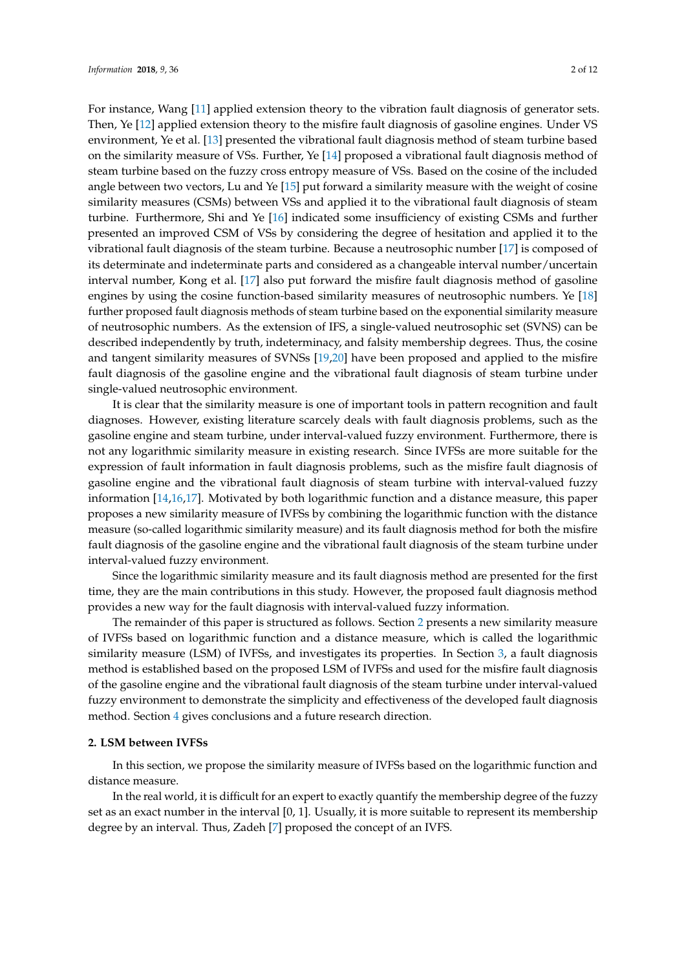For instance, Wang [\[11\]](#page-10-7) applied extension theory to the vibration fault diagnosis of generator sets. Then, Ye [\[12\]](#page-10-8) applied extension theory to the misfire fault diagnosis of gasoline engines. Under VS environment, Ye et al. [\[13\]](#page-10-9) presented the vibrational fault diagnosis method of steam turbine based on the similarity measure of VSs. Further, Ye [\[14\]](#page-10-10) proposed a vibrational fault diagnosis method of steam turbine based on the fuzzy cross entropy measure of VSs. Based on the cosine of the included angle between two vectors, Lu and Ye [\[15\]](#page-10-11) put forward a similarity measure with the weight of cosine similarity measures (CSMs) between VSs and applied it to the vibrational fault diagnosis of steam turbine. Furthermore, Shi and Ye [\[16\]](#page-10-12) indicated some insufficiency of existing CSMs and further presented an improved CSM of VSs by considering the degree of hesitation and applied it to the vibrational fault diagnosis of the steam turbine. Because a neutrosophic number [\[17\]](#page-10-13) is composed of its determinate and indeterminate parts and considered as a changeable interval number/uncertain interval number, Kong et al. [\[17\]](#page-10-13) also put forward the misfire fault diagnosis method of gasoline engines by using the cosine function-based similarity measures of neutrosophic numbers. Ye [\[18\]](#page-10-14) further proposed fault diagnosis methods of steam turbine based on the exponential similarity measure of neutrosophic numbers. As the extension of IFS, a single-valued neutrosophic set (SVNS) can be described independently by truth, indeterminacy, and falsity membership degrees. Thus, the cosine and tangent similarity measures of SVNSs [\[19](#page-11-0)[,20\]](#page-11-1) have been proposed and applied to the misfire fault diagnosis of the gasoline engine and the vibrational fault diagnosis of steam turbine under single-valued neutrosophic environment.

It is clear that the similarity measure is one of important tools in pattern recognition and fault diagnoses. However, existing literature scarcely deals with fault diagnosis problems, such as the gasoline engine and steam turbine, under interval-valued fuzzy environment. Furthermore, there is not any logarithmic similarity measure in existing research. Since IVFSs are more suitable for the expression of fault information in fault diagnosis problems, such as the misfire fault diagnosis of gasoline engine and the vibrational fault diagnosis of steam turbine with interval-valued fuzzy information [\[14,](#page-10-10)[16,](#page-10-12)[17\]](#page-10-13). Motivated by both logarithmic function and a distance measure, this paper proposes a new similarity measure of IVFSs by combining the logarithmic function with the distance measure (so-called logarithmic similarity measure) and its fault diagnosis method for both the misfire fault diagnosis of the gasoline engine and the vibrational fault diagnosis of the steam turbine under interval-valued fuzzy environment.

Since the logarithmic similarity measure and its fault diagnosis method are presented for the first time, they are the main contributions in this study. However, the proposed fault diagnosis method provides a new way for the fault diagnosis with interval-valued fuzzy information.

The remainder of this paper is structured as follows. Section [2](#page-1-0) presents a new similarity measure of IVFSs based on logarithmic function and a distance measure, which is called the logarithmic similarity measure (LSM) of IVFSs, and investigates its properties. In Section [3,](#page-3-0) a fault diagnosis method is established based on the proposed LSM of IVFSs and used for the misfire fault diagnosis of the gasoline engine and the vibrational fault diagnosis of the steam turbine under interval-valued fuzzy environment to demonstrate the simplicity and effectiveness of the developed fault diagnosis method. Section [4](#page-9-0) gives conclusions and a future research direction.

#### <span id="page-1-0"></span>**2. LSM between IVFSs**

In this section, we propose the similarity measure of IVFSs based on the logarithmic function and distance measure.

In the real world, it is difficult for an expert to exactly quantify the membership degree of the fuzzy set as an exact number in the interval [0, 1]. Usually, it is more suitable to represent its membership degree by an interval. Thus, Zadeh [\[7\]](#page-10-3) proposed the concept of an IVFS.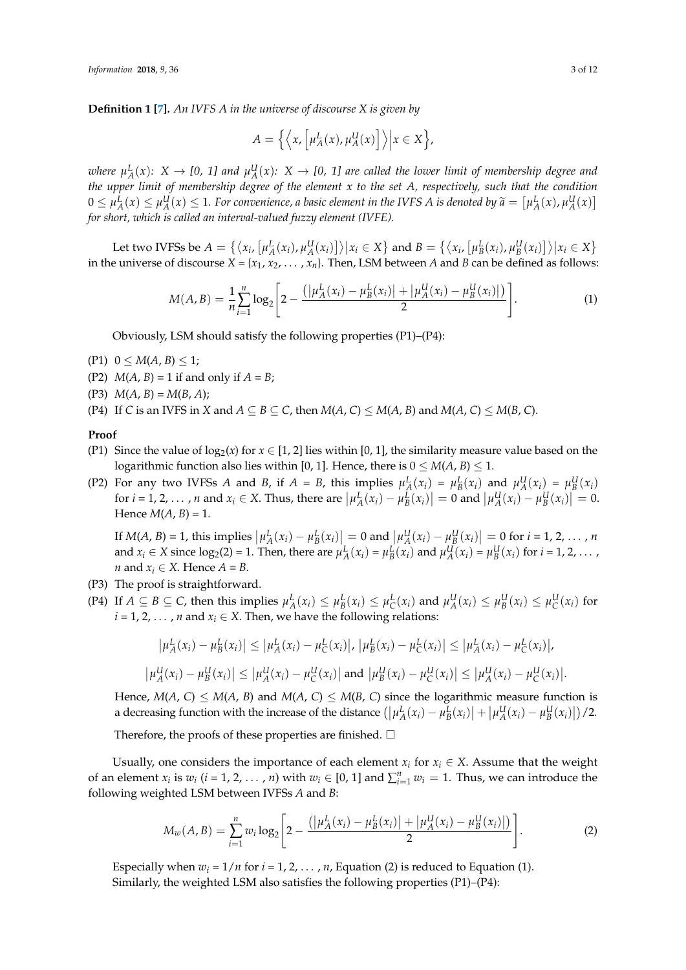**Definition 1 [\[7\]](#page-10-3).** *An IVFS A in the universe of discourse X is given by*

$$
A = \left\{ \left\langle x, \left[ \mu_A^L(x), \mu_A^U(x) \right] \right\rangle \middle| x \in X \right\},\
$$

where  $\mu_A^L(x)$ :  $X \to [0, 1]$  and  $\mu_A^U(x)$ :  $X \to [0, 1]$  are called the lower limit of membership degree and *the upper limit of membership degree of the element x to the set A, respectively, such that the condition*  $0 \leq \mu_A^L(x) \leq \mu_A^U(x) \leq 1$ . For convenience, a basic element in the IVFS A is denoted by  $\tilde{a} = [\mu_A^L(x), \mu_A^U(x)]$ *for short, which is called an interval-valued fuzzy element (IVFE).*

Let two IVFSs be  $A = \{ \langle x_i, [\mu_A^L(x_i), \mu_A^U(x_i)] \rangle | x_i \in X \}$  and  $B = \{ \langle x_i, [\mu_B^L(x_i), \mu_B^U(x_i)] \rangle | x_i \in X \}$ in the universe of discourse  $X = \{x_1, x_2, \dots, x_n\}$ . Then, LSM between *A* and *B* can be defined as follows:

$$
M(A,B) = \frac{1}{n} \sum_{i=1}^{n} \log_2 \left[ 2 - \frac{(|\mu_A^L(x_i) - \mu_B^L(x_i)| + |\mu_A^U(x_i) - \mu_B^U(x_i)|)}{2} \right].
$$
 (1)

Obviously, LSM should satisfy the following properties (P1)–(P4):

- $(P1)$   $0 \leq M(A, B) \leq 1$ ;
- (P2)  $M(A, B) = 1$  if and only if  $A = B$ ;
- (P3)  $M(A, B) = M(B, A);$
- (P4) If *C* is an IVFS in *X* and  $A \subseteq B \subseteq C$ , then  $M(A, C) \leq M(A, B)$  and  $M(A, C) \leq M(B, C)$ .

#### **Proof**

- (P1) Since the value of  $log_2(x)$  for  $x \in [1, 2]$  lies within [0, 1], the similarity measure value based on the logarithmic function also lies within [0, 1]. Hence, there is  $0 \le M(A, B) \le 1$ .
- (P2) For any two IVFSs A and B, if  $A = B$ , this implies  $\mu_A^L(x_i) = \mu_B^L(x_i)$  and  $\mu_A^U(x_i) = \mu_B^U(x_i)$ for  $i = 1, 2, ..., n$  and  $x_i \in X$ . Thus, there are  $\left|\mu_A^L(x_i) - \mu_B^L(x_i)\right| = 0$  and  $\left|\mu_A^U(x_i) - \mu_B^U(x_i)\right| = 0$ . Hence  $M(A, B) = 1$ .

If  $M(A, B) = 1$ , this implies  $|\mu_A^L(x_i) - \mu_B^L(x_i)| = 0$  and  $|\mu_A^U(x_i) - \mu_B^U(x_i)| = 0$  for  $i = 1, 2, ..., n$ and  $x_i \in X$  since  $\log_2(2) = 1$ . Then, there are  $\mu_A^L(x_i) = \mu_B^L(x_i)$  and  $\mu_A^U(x_i) = \mu_B^U(x_i)$  for  $i = 1, 2, \ldots$ , *n* and  $x_i \in X$ . Hence  $A = B$ .

(P3) The proof is straightforward.

 $\overline{\phantom{a}}$ 

(P4) If  $A \subseteq B \subseteq C$ , then this implies  $\mu_A^L(x_i) \leq \mu_B^L(x_i) \leq \mu_C^L(x_i)$  and  $\mu_A^U(x_i) \leq \mu_B^U(x_i) \leq \mu_C^U(x_i)$  for  $i = 1, 2, \dots, n$  and  $x_i \in X$ . Then, we have the following relations:

$$
\begin{aligned} \left| \mu_A^L(x_i) - \mu_B^L(x_i) \right| &\leq \left| \mu_A^L(x_i) - \mu_C^L(x_i) \right|, \left| \mu_B^L(x_i) - \mu_C^L(x_i) \right| &\leq \left| \mu_A^L(x_i) - \mu_C^L(x_i) \right|, \\ \left| \mu_A^U(x_i) - \mu_B^U(x_i) \right| &\leq \left| \mu_A^U(x_i) - \mu_C^U(x_i) \right| \text{ and } \left| \mu_B^U(x_i) - \mu_C^U(x_i) \right| &\leq \left| \mu_A^U(x_i) - \mu_C^U(x_i) \right|. \end{aligned}
$$

Hence,  $M(A, C) \leq M(A, B)$  and  $M(A, C) \leq M(B, C)$  since the logarithmic measure function is a decreasing function with the increase of the distance  $(|\mu_A^L(x_i) - \mu_B^L(x_i)| + |\mu_A^U(x_i) - \mu_B^U(x_i)|)/2$ .

Therefore, the proofs of these properties are finished.  $\Box$ 

Usually, one considers the importance of each element  $x_i$  for  $x_i \in X$ . Assume that the weight of an element  $x_i$  is  $w_i$  ( $i = 1, 2, ..., n$ ) with  $w_i \in [0, 1]$  and  $\sum_{i=1}^n w_i = 1$ . Thus, we can introduce the following weighted LSM between IVFSs *A* and *B*:

$$
M_w(A,B) = \sum_{i=1}^n w_i \log_2 \left[ 2 - \frac{(|\mu_A^L(x_i) - \mu_B^L(x_i)| + |\mu_A^U(x_i) - \mu_B^U(x_i)|)}{2} \right].
$$
 (2)

Especially when  $w_i = 1/n$  for  $i = 1, 2, \ldots, n$ , Equation (2) is reduced to Equation (1). Similarly, the weighted LSM also satisfies the following properties (P1)–(P4):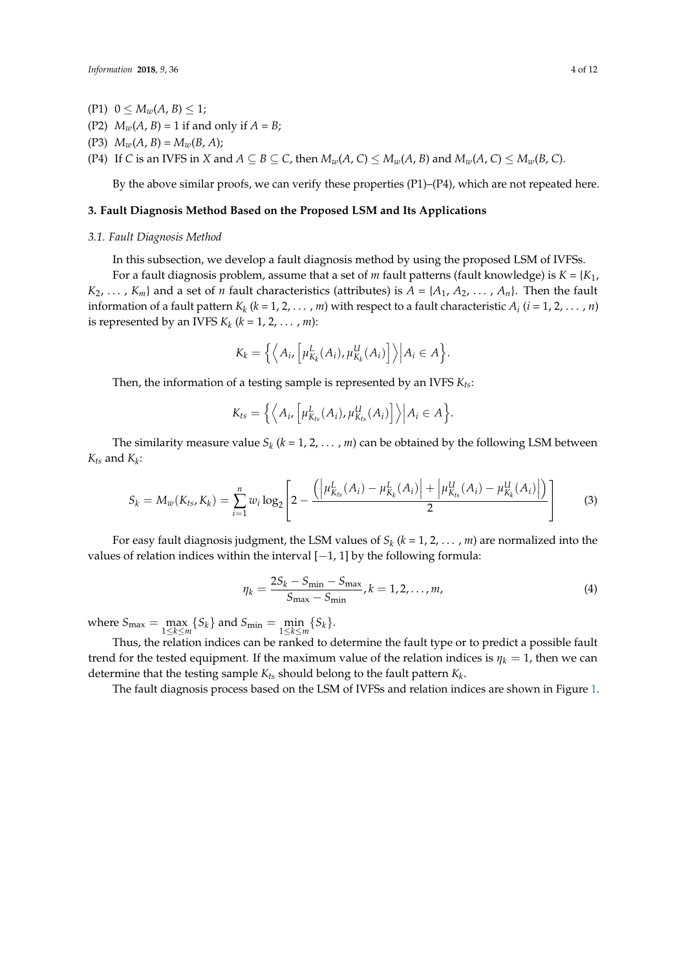- $(P1)$   $0 \leq M_w(A, B) \leq 1;$
- (P2)  $M_w(A, B) = 1$  if and only if  $A = B$ ;
- (P3)  $M_w(A, B) = M_w(B, A);$
- (P4) If C is an IVFS in X and  $A \subseteq B \subseteq C$ , then  $M_w(A, C) \le M_w(A, B)$  and  $M_w(A, C) \le M_w(B, C)$ .

By the above similar proofs, we can verify these properties  $(P1)$ – $(P4)$ , which are not repeated here.

### <span id="page-3-0"></span>**3. Fault Diagnosis Method Based on the Proposed LSM and Its Applications**

#### *3.1. Fault Diagnosis Method*

In this subsection, we develop a fault diagnosis method by using the proposed LSM of IVFSs.

For a fault diagnosis problem, assume that a set of *m* fault patterns (fault knowledge) is  $K = \{K_1, K_2\}$ *K*<sub>2</sub>, ..., *K*<sub>*m*</sub>} and a set of *n* fault characteristics (attributes) is  $A = \{A_1, A_2, \ldots, A_n\}$ . Then the fault information of a fault pattern  $K_k$   $(k = 1, 2, ..., m)$  with respect to a fault characteristic  $A_i$   $(i = 1, 2, ..., n)$ is represented by an IVFS  $K_k$   $(k = 1, 2, \ldots, m)$ :

$$
K_k = \left\{ \left\langle A_i, \left[ \mu_{K_k}^L(A_i), \mu_{K_k}^U(A_i) \right] \right\rangle \middle| A_i \in A \right\}.
$$

Then, the information of a testing sample is represented by an IVFS *Kts*:

$$
K_{ts} = \left\{ \left\langle A_{i}, \left[ \mu_{K_{ts}}^{L}(A_{i}), \mu_{K_{ts}}^{U}(A_{i}) \right] \right\rangle \middle| A_{i} \in A \right\}.
$$

The similarity measure value  $S_k$  ( $k = 1, 2, ..., m$ ) can be obtained by the following LSM between  $K_{ts}$  and  $K_k$ :

$$
S_k = M_w(K_{ts}, K_k) = \sum_{i=1}^n w_i \log_2 \left[ 2 - \frac{\left( \left| \mu_{K_{ts}}^L(A_i) - \mu_{K_k}^L(A_i) \right| + \left| \mu_{K_{ts}}^U(A_i) - \mu_{K_k}^U(A_i) \right| \right)}{2} \right]
$$
(3)

For easy fault diagnosis judgment, the LSM values of *S<sup>k</sup>* (*k* = 1, 2, . . . , *m*) are normalized into the values of relation indices within the interval [−1, 1] by the following formula:

$$
\eta_k = \frac{2S_k - S_{\min} - S_{\max}}{S_{\max} - S_{\min}}, k = 1, 2, ..., m,
$$
\n(4)

where  $S_{\text{max}} = \max_{1 \leq k \leq m} \{ S_k \}$  and  $S_{\text{min}} = \min_{1 \leq k \leq m} \{ S_k \}.$ 

Thus, the relation indices can be ranked to determine the fault type or to predict a possible fault trend for the tested equipment. If the maximum value of the relation indices is  $\eta_k = 1$ , then we can determine that the testing sample *Kts* should belong to the fault pattern *K<sup>k</sup>* .

The fault diagnosis process based on the LSM of IVFSs and relation indices are shown in Figure [1.](#page-4-0)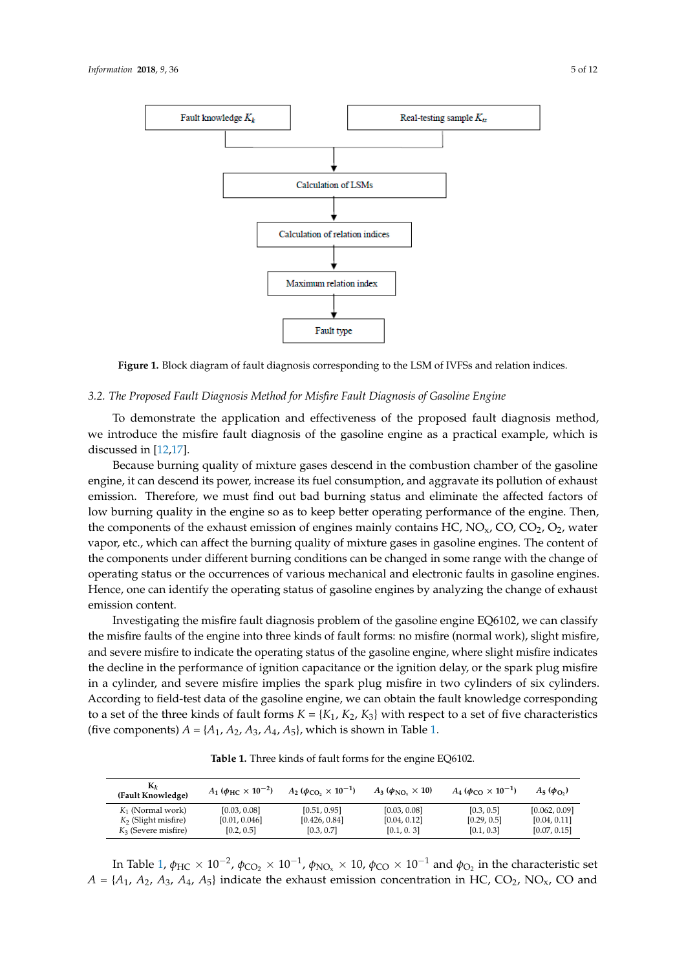<span id="page-4-0"></span>

**Figure 1.** Block diagram of fault diagnosis corresponding to the LSM of IVFSs and relation indices. **Figure 1.** Block diagram of fault diagnosis corresponding to the LSM of IVFSs and relation indices.

# *3.2. The Proposed Fault Diagnosis Method for Misfire Fault Diagnosis of Gasoline Engine 3.2. The Proposed Fault Diagnosis Method for Misfire Fault Diagnosis of Gasoline Engine*

To demonstrate the application and effectiveness of the proposed fault diagnosis method, we To demonstrate the application and effectiveness of the proposed fault diagnosis method, we introduce the misfire fault diagnosis of the gasoline engine as a practical example, which is discussed in [12,17]. discussed in [\[12](#page-10-8)[,17\]](#page-10-13).

Because burning quality of mixture gases descend in the combustion chamber of the gasoline Because burning quality of mixture gases descend in the combustion chamber of the gasoline engine, it can descend its power, increase its fuel consumption, and aggravate its pollution of exhaust emission. Therefore, we must find out bad burning status and eliminate the affected factors of low burning quality in the engine so as to keep better operating performance of the engine. Then, the components of the exhaust emission of engines mainly contains HC,  $NO_x$ , CO, CO<sub>2</sub>, O<sub>2</sub>, water vapor, etc., which can affect the burning quality of mixture gases in gasoline engines. The content of vapor, etc., which can affect the burning quality of mixture gases in gasoline engines. The content of the components under different burning conditions can be changed in some range with the change of operating status or the occurrences of various mechanical and electronic faults in gasoline engines. Hence, one can identify the operating status of gasoline engines by analyzing the change of exhaust emission content.

Investigating the misfire fault diagnosis problem of the gasoline engine EQ6102, we can classify Investigating the misfire fault diagnosis problem of the gasoline engine EQ6102, we can classify the misfire faults of the engine into three kinds of fault forms: no misfire (normal work), slight the misfire faults of the engine into three kinds of fault forms: no misfire (normal work), slight misfire, and severe misfire to indicate the operating status of the gasoline engine, where slight misfire indicates the decline in the performance of ignition capacitance or the ignition delay, or the spark plug misfire in a cylinder, and severe misfire implies the spark plug misfire in two cylinders of six cylinders. According to field-test data of the gasoline engine, we can obtain the fault knowledge corresponding to a set of the three kinds of fault forms  $K = \{K_1, K_2, K_3\}$  with respect to a set of five characteristics (five components)  $A = \{A_1, A_2, A_3, A_4, A_5\}$ , which is shown in Table [1.](#page-4-1)

<span id="page-4-1"></span>

| $\mathbf{K}_k$<br>(Fault Knowledge) | $A_1 (\phi_{HC} \times 10^{-2})$ | $A_2$ ( $\phi_{\text{CO}}$ , $\times 10^{-1}$ ) | $A_3$ ( $\phi_{\text{NO}_x} \times 10$ ) | $A_4$ ( $\phi_{\rm CO} \times 10^{-1}$ ) | $A_5(\phi_{\Omega_2})$ |
|-------------------------------------|----------------------------------|-------------------------------------------------|------------------------------------------|------------------------------------------|------------------------|
| $K_1$ (Normal work)                 | [0.03, 0.08]                     | [0.51, 0.95]                                    | [0.03, 0.08]                             | [0.3, 0.5]                               | [0.062, 0.09]          |
| $K2$ (Slight misfire)               | [0.01, 0.046]                    | [0.426, 0.84]                                   | [0.04, 0.12]                             | [0.29, 0.5]                              | [0.04, 0.11]           |
| $K_3$ (Severe misfire)              | [0.2, 0.5]                       | [0.3, 0.7]                                      | [0.1, 0.3]                               | [0.1, 0.3]                               | [0.07, 0.15]           |

**Table 1.** Three kinds of fault forms for the engine EQ6102. **Table 1.** Three kinds of fault forms for the engine EQ6102.

In Table [1,](#page-4-1)  $\phi_{HC}\times10^{-2}$ ,  $\phi_{CO_2}\times10^{-1}$ ,  $\phi_{NO_x}\times10$ ,  $\phi_{CO}\times10^{-1}$  and  $\phi_{O_2}$  in the characteristic set  $A = \{A_1, A_2, A_3, A_4, A_5\}$  indicate the exhaust emission concentration in HC, CO<sub>2</sub>, NO<sub>x</sub>, CO and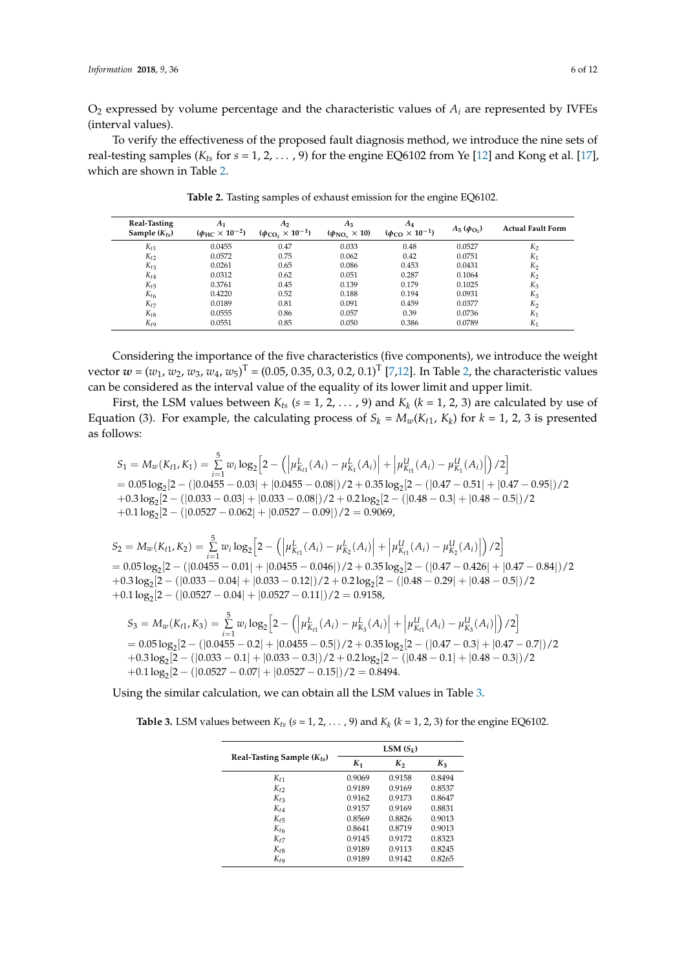$O_2$  expressed by volume percentage and the characteristic values of  $A_i$  are represented by IVFEs (interval values).

To verify the effectiveness of the proposed fault diagnosis method, we introduce the nine sets of real-testing samples ( $K_{ts}$  for  $s = 1, 2, ..., 9$ ) for the engine EQ6102 from Ye [\[12\]](#page-10-8) and Kong et al. [\[17\]](#page-10-13), which are shown in Table [2.](#page-5-0)

<span id="page-5-0"></span>

| Real-Tasting<br>Sample $(K_{ts})$ | $A_1$<br>( $\phi_{\mathrm{HC}} \times 10^{-2}$ ) | A <sub>2</sub><br>$(\phi_{\text{CO}_2} \times 10^{-1})$ | $A_3$<br>$(\phi_{NO_x} \times 10)$ | $A_4$<br>$(\phi_{\text{CO}} \times 10^{-1})$ | $A_5(\phi_{O_2})$ | <b>Actual Fault Form</b> |
|-----------------------------------|--------------------------------------------------|---------------------------------------------------------|------------------------------------|----------------------------------------------|-------------------|--------------------------|
| $K_{t1}$                          | 0.0455                                           | 0.47                                                    | 0.033                              | 0.48                                         | 0.0527            | $K_2$                    |
| $K_{t2}$                          | 0.0572                                           | 0.75                                                    | 0.062                              | 0.42                                         | 0.0751            | $K_1$                    |
| $K_{t3}$                          | 0.0261                                           | 0.65                                                    | 0.086                              | 0.453                                        | 0.0431            | K <sub>2</sub>           |
| $K_{t4}$                          | 0.0312                                           | 0.62                                                    | 0.051                              | 0.287                                        | 0.1064            | $K_2$                    |
| $K_{t,5}$                         | 0.3761                                           | 0.45                                                    | 0.139                              | 0.179                                        | 0.1025            | $K_3$                    |
| $K_{t6}$                          | 0.4220                                           | 0.52                                                    | 0.188                              | 0.194                                        | 0.0931            | $K_3$                    |
| $K_{t7}$                          | 0.0189                                           | 0.81                                                    | 0.091                              | 0.459                                        | 0.0377            | K <sub>2</sub>           |
| $K_{t8}$                          | 0.0555                                           | 0.86                                                    | 0.057                              | 0.39                                         | 0.0736            | $K_1$                    |
| $K_{t9}$                          | 0.0551                                           | 0.85                                                    | 0.050                              | 0.386                                        | 0.0789            | $K_1$                    |

**Table 2.** Tasting samples of exhaust emission for the engine EQ6102.

Considering the importance of the five characteristics (five components), we introduce the weight vector  $w = (w_1, w_2, w_3, w_4, w_5)^T = (0.05, 0.35, 0.3, 0.2, 0.1)^T [7, 12]$  $w = (w_1, w_2, w_3, w_4, w_5)^T = (0.05, 0.35, 0.3, 0.2, 0.1)^T [7, 12]$  $w = (w_1, w_2, w_3, w_4, w_5)^T = (0.05, 0.35, 0.3, 0.2, 0.1)^T [7, 12]$  $w = (w_1, w_2, w_3, w_4, w_5)^T = (0.05, 0.35, 0.3, 0.2, 0.1)^T [7, 12]$ . In Table [2,](#page-5-0) the characteristic values can be considered as the interval value of the equality of its lower limit and upper limit.

First, the LSM values between  $K_{ts}$  ( $s = 1, 2, ..., 9$ ) and  $K_k$  ( $k = 1, 2, 3$ ) are calculated by use of Equation (3). For example, the calculating process of  $S_k = M_w(K_{t1}, K_k)$  for  $k = 1, 2, 3$  is presented as follows:

$$
S_1 = M_w(K_{t1}, K_1) = \sum_{i=1}^{5} w_i \log_2 \left[ 2 - \left( \left| \mu_{K_{t1}}^L(A_i) - \mu_{K_1}^L(A_i) \right| + \left| \mu_{K_{t1}}^U(A_i) - \mu_{K_1}^U(A_i) \right| \right) / 2 \right]
$$
  
= 0.05 log<sub>2</sub> [2 - (10.0455 - 0.03) + 10.0455 - 0.08]) / 2 + 0.35 log<sub>2</sub> [2 - (10.47 - 0.51) + 10.47 - 0.95]) / 2  
+ 0.3 log<sub>2</sub> [2 - (10.033 - 0.03) + 10.033 - 0.08]) / 2 + 0.2 log<sub>2</sub> [2 - (10.48 - 0.3) + 10.48 - 0.5]) / 2  
+ 0.1 log<sub>2</sub> [2 - (10.0527 - 0.062) + 10.0527 - 0.09]) / 2 = 0.9069,

$$
S_2 = M_w(K_{t1}, K_2) = \sum_{i=1}^{5} w_i \log_2 \left[ 2 - \left( \left| \mu_{K_{t1}}^L(A_i) - \mu_{K_2}^L(A_i) \right| + \left| \mu_{K_{t1}}^U(A_i) - \mu_{K_2}^U(A_i) \right| \right) / 2 \right]
$$
  
= 0.05 log<sub>2</sub> [2 - (|0.0455 - 0.01| + |0.0455 - 0.046|)/2 + 0.35 log<sub>2</sub> [2 - (|0.47 - 0.426| + |0.47 - 0.84|)/2  
+ 0.3 log<sub>2</sub> [2 - (|0.033 - 0.04| + |0.033 - 0.12|)/2 + 0.2 log<sub>2</sub> [2 - (|0.48 - 0.29| + |0.48 - 0.5|)/2  
+ 0.1 log<sub>2</sub> [2 - (|0.0527 - 0.04| + |0.0527 - 0.11|)/2 = 0.9158,

$$
S_3 = M_w(K_{t1}, K_3) = \sum_{i=1}^5 w_i \log_2 \left[ 2 - \left( \left| \mu_{K_{t1}}^L(A_i) - \mu_{K_3}^L(A_i) \right| + \left| \mu_{K_{t1}}^U(A_i) - \mu_{K_3}^U(A_i) \right| \right) / 2 \right]
$$
  
= 0.05 log<sub>2</sub> [2 - (|0.0455 - 0.2| + |0.0455 - 0.5|)/2 + 0.35 log<sub>2</sub> [2 - (|0.47 - 0.3| + |0.47 - 0.7|)/2  
+ 0.3 log<sub>2</sub> [2 - (|0.033 - 0.1| + |0.033 - 0.3|)/2 + 0.2 log<sub>2</sub> [2 - (|0.48 - 0.1| + |0.48 - 0.3|)/2  
+ 0.1 log<sub>2</sub> [2 - (|0.0527 - 0.07| + |0.0527 - 0.15|)/2 = 0.8494.

<span id="page-5-1"></span>Using the similar calculation, we can obtain all the LSM values in Table [3.](#page-5-1)

**Table 3.** LSM values between  $K_{ts}$  ( $s = 1, 2, ..., 9$ ) and  $K_k$  ( $k = 1, 2, 3$ ) for the engine EQ6102.

| Real-Tasting Sample $(K_{ts})$ | K <sub>1</sub> | K,     | $K_3$  |
|--------------------------------|----------------|--------|--------|
| $K_{t1}$                       | 0.9069         | 0.9158 | 0.8494 |
| $K_t$                          | 0.9189         | 0.9169 | 0.8537 |
| $K_{t3}$                       | 0.9162         | 0.9173 | 0.8647 |
| $K_{t4}$                       | 0.9157         | 0.9169 | 0.8831 |
| $K_t$                          | 0.8569         | 0.8826 | 0.9013 |
| $K_{t6}$                       | 0.8641         | 0.8719 | 0.9013 |
| $K_{t7}$                       | 0.9145         | 0.9172 | 0.8323 |
| $K_{t8}$                       | 0.9189         | 0.9113 | 0.8245 |
| $K_t$ 9                        | 0.9189         | 0.9142 | 0.8265 |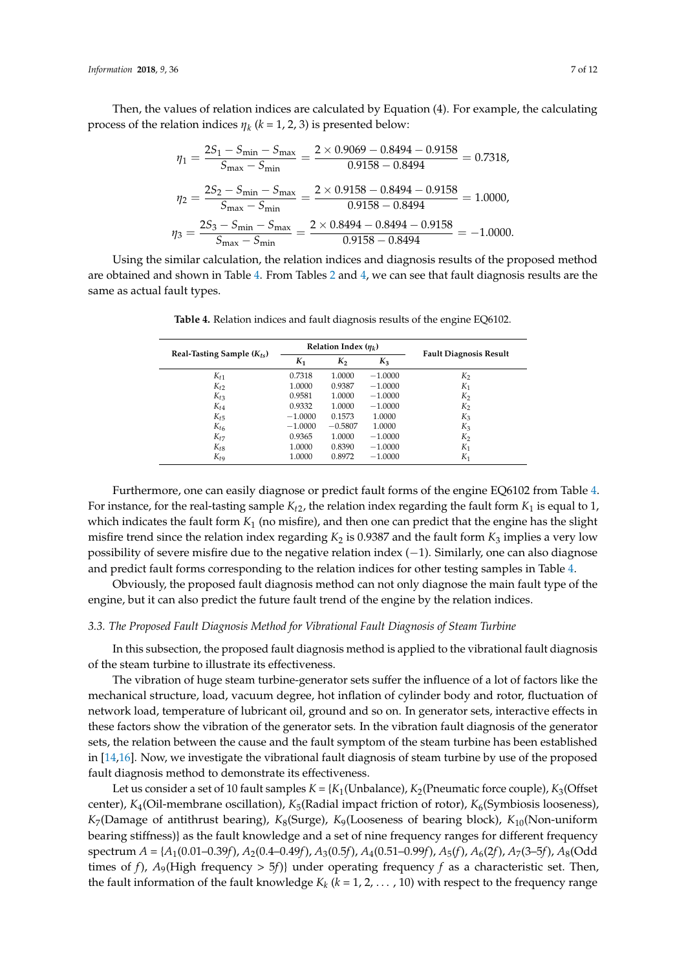Then, the values of relation indices are calculated by Equation (4). For example, the calculating process of the relation indices  $\eta_k$  ( $k = 1, 2, 3$ ) is presented below:

$$
\eta_1 = \frac{2S_1 - S_{\text{min}} - S_{\text{max}}}{S_{\text{max}} - S_{\text{min}}} = \frac{2 \times 0.9069 - 0.8494 - 0.9158}{0.9158 - 0.8494} = 0.7318,
$$
  

$$
\eta_2 = \frac{2S_2 - S_{\text{min}} - S_{\text{max}}}{S_{\text{max}} - S_{\text{min}}} = \frac{2 \times 0.9158 - 0.8494 - 0.9158}{0.9158 - 0.8494} = 1.0000,
$$
  

$$
\eta_3 = \frac{2S_3 - S_{\text{min}} - S_{\text{max}}}{S_{\text{max}} - S_{\text{min}}} = \frac{2 \times 0.8494 - 0.8494 - 0.9158}{0.9158 - 0.8494} = -1.0000.
$$

<span id="page-6-0"></span>Using the similar calculation, the relation indices and diagnosis results of the proposed method are obtained and shown in Table [4.](#page-6-0) From Tables [2](#page-5-0) and [4,](#page-6-0) we can see that fault diagnosis results are the same as actual fault types.

|                                |           | Relation Index $(\eta_k)$ |           |                               |
|--------------------------------|-----------|---------------------------|-----------|-------------------------------|
| Real-Tasting Sample $(K_{ts})$ | $K_1$     | $K_2$                     | $K_3$     | <b>Fault Diagnosis Result</b> |
| $K_{t1}$                       | 0.7318    | 1.0000                    | $-1.0000$ | K <sub>2</sub>                |
| $K_{t2}$                       | 1.0000    | 0.9387                    | $-1.0000$ | $K_1$                         |
| $K_{t,3}$                      | 0.9581    | 1.0000                    | $-1.0000$ | K <sub>2</sub>                |
| $K_{t4}$                       | 0.9332    | 1.0000                    | $-1.0000$ | $K_2$                         |
| $K_{t,5}$                      | $-1.0000$ | 0.1573                    | 1.0000    | $K_3$                         |
| $K_{t6}$                       | $-1.0000$ | $-0.5807$                 | 1.0000    | $K_3$                         |
| $K_{t7}$                       | 0.9365    | 1.0000                    | $-1.0000$ | K <sub>2</sub>                |
| $K_{t8}$                       | 1.0000    | 0.8390                    | $-1.0000$ | $K_1$                         |
| $K_t$ 9                        | 1.0000    | 0.8972                    | $-1.0000$ | K <sub>1</sub>                |

**Table 4.** Relation indices and fault diagnosis results of the engine EQ6102.

Furthermore, one can easily diagnose or predict fault forms of the engine EQ6102 from Table [4.](#page-6-0) For instance, for the real-tasting sample  $K_t$ <sub>2</sub>, the relation index regarding the fault form  $K_1$  is equal to 1, which indicates the fault form  $K_1$  (no misfire), and then one can predict that the engine has the slight misfire trend since the relation index regarding  $K_2$  is 0.9387 and the fault form  $K_3$  implies a very low possibility of severe misfire due to the negative relation index (−1). Similarly, one can also diagnose and predict fault forms corresponding to the relation indices for other testing samples in Table [4.](#page-6-0)

Obviously, the proposed fault diagnosis method can not only diagnose the main fault type of the engine, but it can also predict the future fault trend of the engine by the relation indices.

#### *3.3. The Proposed Fault Diagnosis Method for Vibrational Fault Diagnosis of Steam Turbine*

In this subsection, the proposed fault diagnosis method is applied to the vibrational fault diagnosis of the steam turbine to illustrate its effectiveness.

The vibration of huge steam turbine-generator sets suffer the influence of a lot of factors like the mechanical structure, load, vacuum degree, hot inflation of cylinder body and rotor, fluctuation of network load, temperature of lubricant oil, ground and so on. In generator sets, interactive effects in these factors show the vibration of the generator sets. In the vibration fault diagnosis of the generator sets, the relation between the cause and the fault symptom of the steam turbine has been established in [\[14](#page-10-10)[,16\]](#page-10-12). Now, we investigate the vibrational fault diagnosis of steam turbine by use of the proposed fault diagnosis method to demonstrate its effectiveness.

Let us consider a set of 10 fault samples  $K = \{K_1(\text{Unbalance}), K_2(\text{Pneumatic force couple}), K_3(\text{Offset})\}$ center), *K*<sub>4</sub>(Oil-membrane oscillation), *K*<sub>5</sub>(Radial impact friction of rotor), *K*<sub>6</sub>(Symbiosis looseness), *K*7(Damage of antithrust bearing), *K*8(Surge), *K*9(Looseness of bearing block), *K*10(Non-uniform bearing stiffness)} as the fault knowledge and a set of nine frequency ranges for different frequency spectrum *A* = {*A*1(0.01–0.39*f*), *A*2(0.4–0.49*f*), *A*3(0.5*f*), *A*4(0.51–0.99*f*), *A*5(*f*), *A*6(2*f*), *A*7(3–5*f*), *A*8(Odd times of *f*),  $A_9$ (High frequency  $> 5f$ ) under operating frequency *f* as a characteristic set. Then, the fault information of the fault knowledge *K<sup>k</sup>* (*k* = 1, 2, . . . , 10) with respect to the frequency range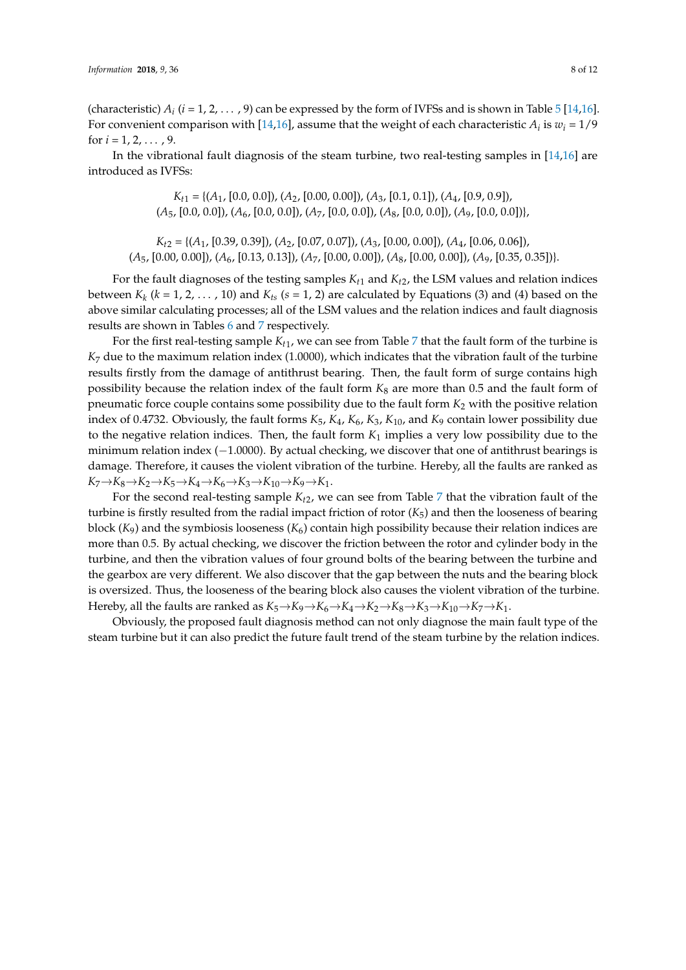(characteristic)  $A_i$  ( $i = 1, 2, ..., 9$ ) can be expressed by the form of IVFSs and is shown in Table [5](#page-8-0) [\[14](#page-10-10)[,16\]](#page-10-12). For convenient comparison with [\[14](#page-10-10)[,16\]](#page-10-12), assume that the weight of each characteristic  $A_i$  is  $w_i$  = 1/9 for  $i = 1, 2, \ldots, 9$ .

In the vibrational fault diagnosis of the steam turbine, two real-testing samples in [\[14,](#page-10-10)[16\]](#page-10-12) are introduced as IVFSs:

> $K_{t1} = \{(A_1, [0.0, 0.0]), (A_2, [0.00, 0.00]), (A_3, [0.1, 0.1]), (A_4, [0.9, 0.9]),$ (*A*5, [0.0, 0.0]), (*A*6, [0.0, 0.0]), (*A*7, [0.0, 0.0]), (*A*8, [0.0, 0.0]), (*A*9, [0.0, 0.0])},

*Kt*<sup>2</sup> = {(*A*1, [0.39, 0.39]), (*A*2, [0.07, 0.07]), (*A*3, [0.00, 0.00]), (*A*4, [0.06, 0.06]), (*A*5, [0.00, 0.00]), (*A*6, [0.13, 0.13]), (*A*7, [0.00, 0.00]), (*A*8, [0.00, 0.00]), (*A*9, [0.35, 0.35])}.

For the fault diagnoses of the testing samples  $K_{t1}$  and  $K_{t2}$ , the LSM values and relation indices between  $K_k$  ( $k = 1, 2, ..., 10$ ) and  $K_{ts}$  ( $s = 1, 2$ ) are calculated by Equations (3) and (4) based on the above similar calculating processes; all of the LSM values and the relation indices and fault diagnosis results are shown in Tables [6](#page-8-1) and [7](#page-8-2) respectively.

For the first real-testing sample *Kt*1, we can see from Table [7](#page-8-2) that the fault form of the turbine is *K*<sup>7</sup> due to the maximum relation index (1.0000), which indicates that the vibration fault of the turbine results firstly from the damage of antithrust bearing. Then, the fault form of surge contains high possibility because the relation index of the fault form *K*<sup>8</sup> are more than 0.5 and the fault form of pneumatic force couple contains some possibility due to the fault form *K*<sup>2</sup> with the positive relation index of 0.4732. Obviously, the fault forms *K*5, *K*4, *K*6, *K*3, *K*10, and *K*<sup>9</sup> contain lower possibility due to the negative relation indices. Then, the fault form *K*<sup>1</sup> implies a very low possibility due to the minimum relation index (−1.0000). By actual checking, we discover that one of antithrust bearings is damage. Therefore, it causes the violent vibration of the turbine. Hereby, all the faults are ranked as  $K_7 \rightarrow K_8 \rightarrow K_2 \rightarrow K_5 \rightarrow K_4 \rightarrow K_6 \rightarrow K_3 \rightarrow K_{10} \rightarrow K_9 \rightarrow K_1$ .

For the second real-testing sample  $K_{t2}$ , we can see from Table [7](#page-8-2) that the vibration fault of the turbine is firstly resulted from the radial impact friction of rotor  $(K_5)$  and then the looseness of bearing block (*K*9) and the symbiosis looseness (*K*6) contain high possibility because their relation indices are more than 0.5. By actual checking, we discover the friction between the rotor and cylinder body in the turbine, and then the vibration values of four ground bolts of the bearing between the turbine and the gearbox are very different. We also discover that the gap between the nuts and the bearing block is oversized. Thus, the looseness of the bearing block also causes the violent vibration of the turbine. Hereby, all the faults are ranked as  $K_5 \rightarrow K_9 \rightarrow K_6 \rightarrow K_4 \rightarrow K_2 \rightarrow K_8 \rightarrow K_3 \rightarrow K_{10} \rightarrow K_7 \rightarrow K_1$ .

Obviously, the proposed fault diagnosis method can not only diagnose the main fault type of the steam turbine but it can also predict the future fault trend of the steam turbine by the relation indices.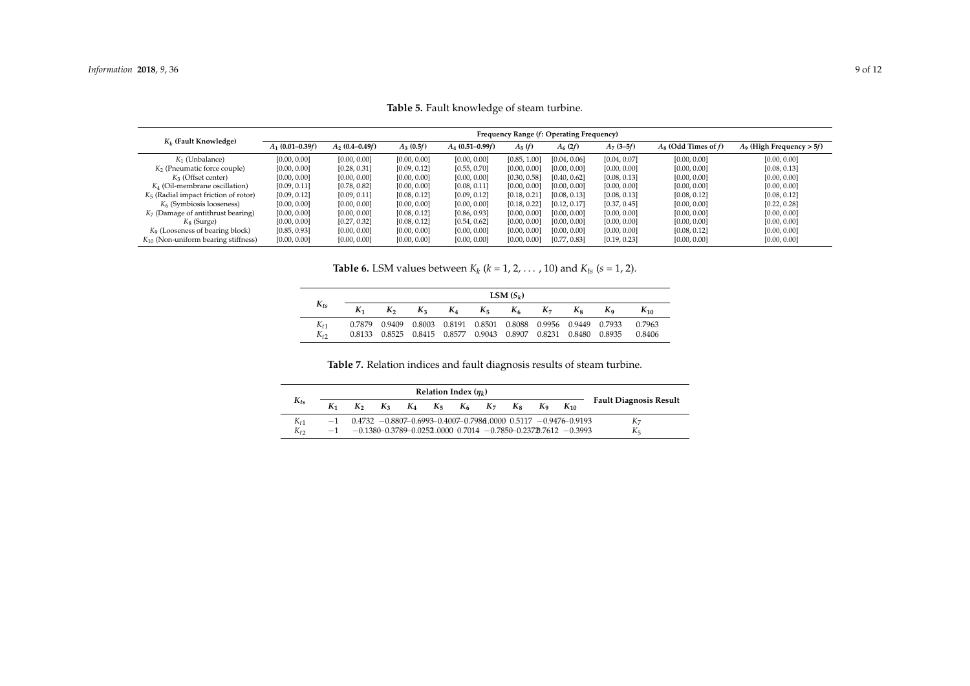|                                             | Frequency Range (f: Operating Frequency) |                   |              |                    |              |              |                       |                        |                                |  |
|---------------------------------------------|------------------------------------------|-------------------|--------------|--------------------|--------------|--------------|-----------------------|------------------------|--------------------------------|--|
| $K_k$ (Fault Knowledge)                     | $A_1$ (0.01–0.39f)                       | $A_2$ (0.4–0.49f) | $A_3(0.5f)$  | $A_4$ (0.51–0.99f) | $A_5(f)$     | $A_6(2f)$    | $A_7$ (3–5 <i>f</i> ) | $A_8$ (Odd Times of f) | $A_9$ (High Frequency > $5f$ ) |  |
| $K_1$ (Unbalance)                           | [0.00, 0.00]                             | [0.00, 0.00]      | [0.00, 0.00] | [0.00, 0.00]       | [0.85, 1.00] | [0.04, 0.06] | [0.04, 0.07]          | [0.00, 0.00]           | [0.00, 0.00]                   |  |
| $K2$ (Pneumatic force couple)               | [0.00, 0.00]                             | [0.28, 0.31]      | [0.09, 0.12] | [0.55, 0.70]       | [0.00, 0.00] | [0.00, 0.00] | [0.00, 0.00]          | [0.00, 0.00]           | [0.08, 0.13]                   |  |
| $K_3$ (Offset center)                       | [0.00, 0.00]                             | [0.00, 0.00]      | [0.00, 0.00] | [0.00, 0.00]       | [0.30, 0.58] | [0.40, 0.62] | [0.08, 0.13]          | [0.00, 0.00]           | [0.00, 0.00]                   |  |
| $K_4$ (Oil-membrane oscillation)            | [0.09, 0.11]                             | [0.78, 0.82]      | [0.00, 0.00] | [0.08, 0.11]       | [0.00, 0.00] | [0.00, 0.00] | [0.00, 0.00]          | [0.00, 0.00]           | [0.00, 0.00]                   |  |
| $K5$ (Radial impact friction of rotor)      | [0.09, 0.12]                             | [0.09, 0.11]      | [0.08, 0.12] | [0.09, 0.12]       | [0.18, 0.21] | [0.08, 0.13] | [0.08, 0.13]          | [0.08, 0.12]           | [0.08, 0.12]                   |  |
| $K6$ (Symbiosis looseness)                  | [0.00, 0.00]                             | [0.00, 0.00]      | [0.00, 0.00] | [0.00, 0.00]       | [0.18, 0.22] | [0.12, 0.17] | [0.37, 0.45]          | [0.00, 0.00]           | [0.22, 0.28]                   |  |
| $K7$ (Damage of antithrust bearing)         | [0.00, 0.00]                             | [0.00, 0.00]      | [0.08, 0.12] | [0.86, 0.93]       | [0.00, 0.00] | [0.00, 0.00] | [0.00, 0.00]          | [0.00, 0.00]           | [0.00, 0.00]                   |  |
| $K_8$ (Surge)                               | [0.00, 0.00]                             | [0.27, 0.32]      | [0.08, 0.12] | [0.54, 0.62]       | [0.00, 0.00] | [0.00, 0.00] | [0.00, 0.00]          | [0.00, 0.00]           | [0.00, 0.00]                   |  |
| K <sub>9</sub> (Looseness of bearing block) | [0.85, 0.93]                             | [0.00, 0.00]      | [0.00, 0.00] | [0.00, 0.00]       | [0.00, 0.00] | [0.00, 0.00] | [0.00, 0.00]          | [0.08, 0.12]           | [0.00, 0.00]                   |  |
| $K_{10}$ (Non-uniform bearing stiffness)    | [0.00, 0.00]                             | [0.00, 0.00]      | [0.00, 0.00] | [0.00, 0.00]       | [0.00, 0.00] | [0.77, 0.83] | [0.19, 0.23]          | [0.00, 0.00]           | [0.00, 0.00]                   |  |

**Table 5.** Fault knowledge of steam turbine.

**Table 6.** LSM values between  $K_k$  ( $k = 1, 2, ..., 10$ ) and  $K_{ts}$  ( $s = 1, 2$ ).

|          |  |         |       |       | LSM $(S_k)$                                                            |       |             |                |          |
|----------|--|---------|-------|-------|------------------------------------------------------------------------|-------|-------------|----------------|----------|
| $K_{ts}$ |  | $K_{2}$ | $K_4$ | $K_5$ | $K_6$                                                                  | $K_7$ | $K_{\rm R}$ | K <sub>o</sub> | $K_{10}$ |
| $K_{t1}$ |  |         |       |       | 0.7879  0.9409  0.8003  0.8191  0.8501  0.8088  0.9956  0.9449  0.7933 |       |             |                | 0.7963   |
| $K_{t2}$ |  |         |       |       | 0.8133 0.8525 0.8415 0.8577 0.9043 0.8907 0.8231 0.8480                |       |             | 0.8935         | 0.8406   |

**Table 7.** Relation indices and fault diagnosis results of steam turbine.

<span id="page-8-2"></span><span id="page-8-1"></span><span id="page-8-0"></span>

| Relation Index $(\eta_k)$ |  |  |       |       |         |                |       |             |    |                                                                               |                               |
|---------------------------|--|--|-------|-------|---------|----------------|-------|-------------|----|-------------------------------------------------------------------------------|-------------------------------|
| $K_{ts}$                  |  |  | $K_2$ | $K_4$ | $K_{5}$ | K <sub>6</sub> | $K_7$ | $K_{\rm R}$ | Ko | $K_{10}$                                                                      | <b>Fault Diagnosis Result</b> |
| $K_{t1}$                  |  |  |       |       |         |                |       |             |    | $0.4732 - 0.8807 - 0.6993 - 0.4007 - 0.7986$ .0000 $0.5117 - 0.9476 - 0.9193$ | K7                            |
| $K_{t2}$                  |  |  |       |       |         |                |       |             |    | $-0.1380 - 0.3789 - 0.0252$ .0000 0.7014 $-0.7850 - 0.2372$ 0.7612 $-0.3993$  | $K_{5}$                       |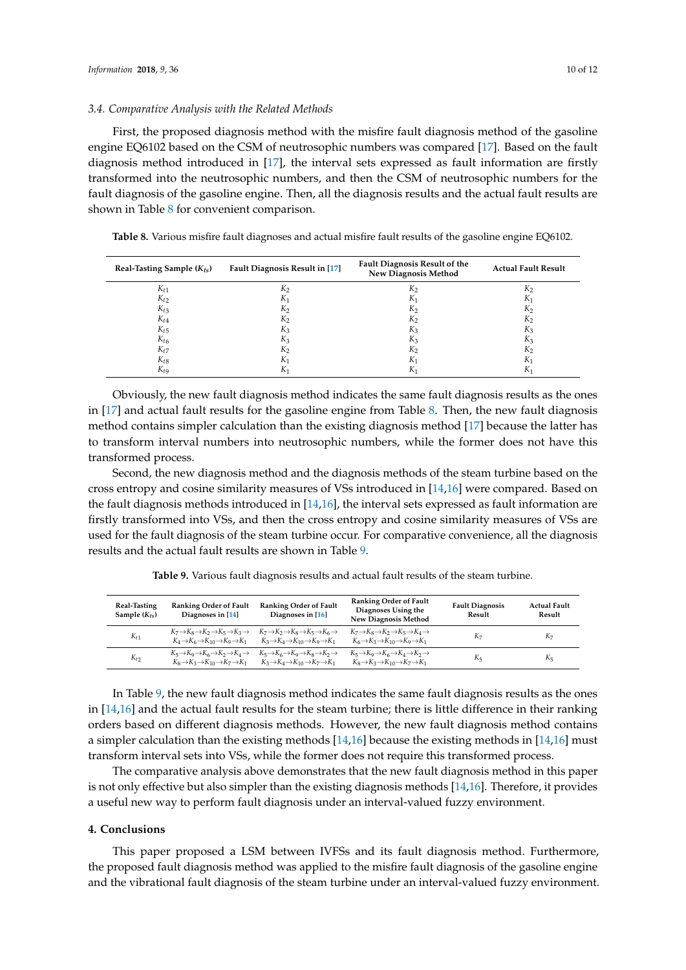#### *3.4. Comparative Analysis with the Related Methods*

First, the proposed diagnosis method with the misfire fault diagnosis method of the gasoline engine EQ6102 based on the CSM of neutrosophic numbers was compared [\[17\]](#page-10-13). Based on the fault diagnosis method introduced in [\[17\]](#page-10-13), the interval sets expressed as fault information are firstly transformed into the neutrosophic numbers, and then the CSM of neutrosophic numbers for the fault diagnosis of the gasoline engine. Then, all the diagnosis results and the actual fault results are shown in Table [8](#page-9-1) for convenient comparison.

<span id="page-9-1"></span>**Table 8.** Various misfire fault diagnoses and actual misfire fault results of the gasoline engine EQ6102.

| Real-Tasting Sample $(K_{ts})$ | Fault Diagnosis Result in [17] | Fault Diagnosis Result of the<br>New Diagnosis Method | <b>Actual Fault Result</b> |
|--------------------------------|--------------------------------|-------------------------------------------------------|----------------------------|
| $K_{t1}$                       | K <sub>2</sub>                 | $K_2$                                                 | $K_2$                      |
| $K_{t2}$                       | $K_1$                          | $K_1$                                                 | $K_1$                      |
| $K_{t3}$                       | K <sub>2</sub>                 | K <sub>2</sub>                                        | K <sub>2</sub>             |
| $K_{t4}$                       | K <sub>2</sub>                 | K <sub>2</sub>                                        | K <sub>2</sub>             |
| $K_{t,5}$                      | $K_3$                          | $K_3$                                                 | $K_3$                      |
| $K_{t6}$                       | $K_3$                          | $K_3$                                                 | $K_3$                      |
| $K_{t7}$                       | K <sub>2</sub>                 | K <sub>2</sub>                                        | $K_2$                      |
| $K_{t8}$                       | $K_1$                          | K <sub>1</sub>                                        | $K_1$                      |
| $K_{t9}$                       | $K_1$                          | $K_1$                                                 | $K_1$                      |

Obviously, the new fault diagnosis method indicates the same fault diagnosis results as the ones in [\[17\]](#page-10-13) and actual fault results for the gasoline engine from Table [8.](#page-9-1) Then, the new fault diagnosis method contains simpler calculation than the existing diagnosis method [\[17\]](#page-10-13) because the latter has to transform interval numbers into neutrosophic numbers, while the former does not have this transformed process.

Second, the new diagnosis method and the diagnosis methods of the steam turbine based on the cross entropy and cosine similarity measures of VSs introduced in [\[14](#page-10-10)[,16\]](#page-10-12) were compared. Based on the fault diagnosis methods introduced in [\[14,](#page-10-10)[16\]](#page-10-12), the interval sets expressed as fault information are firstly transformed into VSs, and then the cross entropy and cosine similarity measures of VSs are used for the fault diagnosis of the steam turbine occur. For comparative convenience, all the diagnosis results and the actual fault results are shown in Table [9.](#page-9-2)

<span id="page-9-2"></span>

| <b>Real-Tasting</b><br>Sample $(K_{ts})$ | <b>Ranking Order of Fault</b><br>Diagnoses in [14]                                                                                                | <b>Ranking Order of Fault</b><br>Diagnoses in [16]                                                                                                                                                                                            | <b>Ranking Order of Fault</b><br>Diagnoses Using the<br>New Diagnosis Method                                                                                  | <b>Fault Diagnosis</b><br>Result | <b>Actual Fault</b><br>Result |
|------------------------------------------|---------------------------------------------------------------------------------------------------------------------------------------------------|-----------------------------------------------------------------------------------------------------------------------------------------------------------------------------------------------------------------------------------------------|---------------------------------------------------------------------------------------------------------------------------------------------------------------|----------------------------------|-------------------------------|
| $K_{t1}$                                 | $K_4 \rightarrow K_6 \rightarrow K_{10} \rightarrow K_9 \rightarrow K_1$ $K_3 \rightarrow K_4 \rightarrow K_{10} \rightarrow K_9 \rightarrow K_1$ | $K_7 \rightarrow K_8 \rightarrow K_2 \rightarrow K_5 \rightarrow K_3 \rightarrow$ $K_7 \rightarrow K_2 \rightarrow K_8 \rightarrow K_5 \rightarrow K_6 \rightarrow$                                                                           | $K_7 \rightarrow K_8 \rightarrow K_2 \rightarrow K_5 \rightarrow K_4 \rightarrow$<br>$K_6 \rightarrow K_3 \rightarrow K_{10} \rightarrow K_9 \rightarrow K_1$ | K <sub>7</sub>                   | K7                            |
| $K_{t2}$                                 | $K_8 \rightarrow K_3 \rightarrow K_{10} \rightarrow K_7 \rightarrow K_1$                                                                          | $K_5 \rightarrow K_9 \rightarrow K_6 \rightarrow K_2 \rightarrow K_4 \rightarrow K_5 \rightarrow K_6 \rightarrow K_9 \rightarrow K_8 \rightarrow K_2 \rightarrow$<br>$K_3 \rightarrow K_4 \rightarrow K_{10} \rightarrow K_7 \rightarrow K_1$ | $K_5 \rightarrow K_9 \rightarrow K_6 \rightarrow K_4 \rightarrow K_2 \rightarrow$<br>$K_8 \rightarrow K_3 \rightarrow K_{10} \rightarrow K_7 \rightarrow K_1$ | $K_{5}$                          | $K_5$                         |

**Table 9.** Various fault diagnosis results and actual fault results of the steam turbine.

In Table [9,](#page-9-2) the new fault diagnosis method indicates the same fault diagnosis results as the ones in [\[14](#page-10-10)[,16\]](#page-10-12) and the actual fault results for the steam turbine; there is little difference in their ranking orders based on different diagnosis methods. However, the new fault diagnosis method contains a simpler calculation than the existing methods  $[14,16]$  $[14,16]$  because the existing methods in  $[14,16]$  must transform interval sets into VSs, while the former does not require this transformed process.

The comparative analysis above demonstrates that the new fault diagnosis method in this paper is not only effective but also simpler than the existing diagnosis methods [\[14](#page-10-10)[,16\]](#page-10-12). Therefore, it provides a useful new way to perform fault diagnosis under an interval-valued fuzzy environment.

#### <span id="page-9-0"></span>**4. Conclusions**

This paper proposed a LSM between IVFSs and its fault diagnosis method. Furthermore, the proposed fault diagnosis method was applied to the misfire fault diagnosis of the gasoline engine and the vibrational fault diagnosis of the steam turbine under an interval-valued fuzzy environment.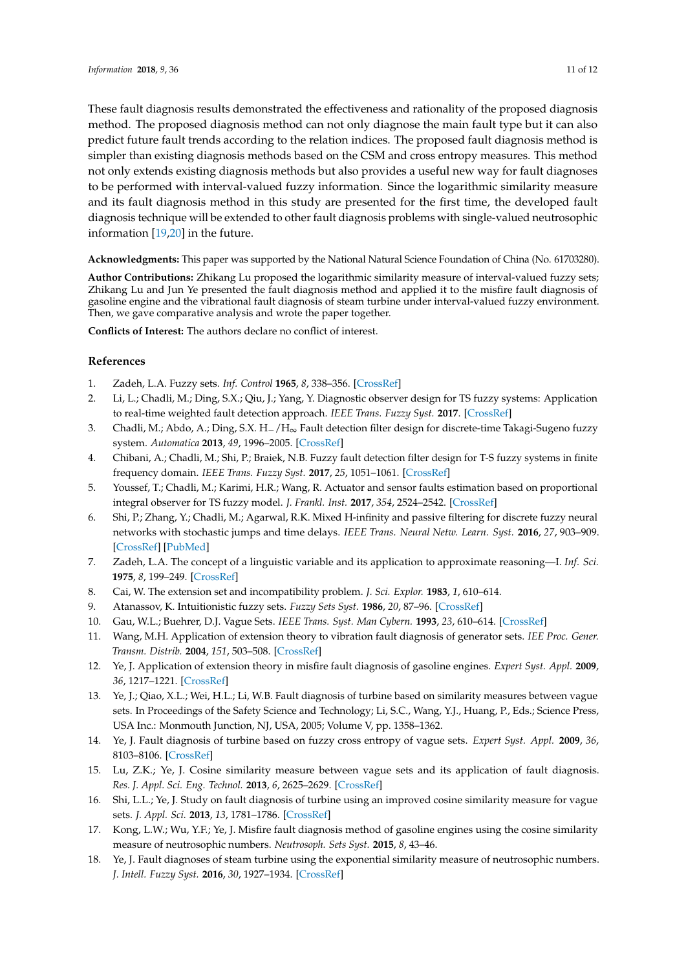These fault diagnosis results demonstrated the effectiveness and rationality of the proposed diagnosis method. The proposed diagnosis method can not only diagnose the main fault type but it can also predict future fault trends according to the relation indices. The proposed fault diagnosis method is simpler than existing diagnosis methods based on the CSM and cross entropy measures. This method not only extends existing diagnosis methods but also provides a useful new way for fault diagnoses to be performed with interval-valued fuzzy information. Since the logarithmic similarity measure and its fault diagnosis method in this study are presented for the first time, the developed fault diagnosis technique will be extended to other fault diagnosis problems with single-valued neutrosophic information [\[19](#page-11-0)[,20\]](#page-11-1) in the future.

**Acknowledgments:** This paper was supported by the National Natural Science Foundation of China (No. 61703280).

**Author Contributions:** Zhikang Lu proposed the logarithmic similarity measure of interval-valued fuzzy sets; Zhikang Lu and Jun Ye presented the fault diagnosis method and applied it to the misfire fault diagnosis of gasoline engine and the vibrational fault diagnosis of steam turbine under interval-valued fuzzy environment. Then, we gave comparative analysis and wrote the paper together.

**Conflicts of Interest:** The authors declare no conflict of interest.

# **References**

- <span id="page-10-0"></span>1. Zadeh, L.A. Fuzzy sets. *Inf. Control* **1965**, *8*, 338–356. [\[CrossRef\]](http://dx.doi.org/10.1016/S0019-9958(65)90241-X)
- <span id="page-10-1"></span>2. Li, L.; Chadli, M.; Ding, S.X.; Qiu, J.; Yang, Y. Diagnostic observer design for TS fuzzy systems: Application to real-time weighted fault detection approach. *IEEE Trans. Fuzzy Syst.* **2017**. [\[CrossRef\]](http://dx.doi.org/10.1109/TFUZZ.2017.2690627)
- 3. Chadli, M.; Abdo, A.; Ding, S.X. H−/H∞ Fault detection filter design for discrete-time Takagi-Sugeno fuzzy system. *Automatica* **2013**, *49*, 1996–2005. [\[CrossRef\]](http://dx.doi.org/10.1016/j.automatica.2013.03.014)
- 4. Chibani, A.; Chadli, M.; Shi, P.; Braiek, N.B. Fuzzy fault detection filter design for T-S fuzzy systems in finite frequency domain. *IEEE Trans. Fuzzy Syst.* **2017**, *25*, 1051–1061. [\[CrossRef\]](http://dx.doi.org/10.1109/TFUZZ.2016.2593921)
- 5. Youssef, T.; Chadli, M.; Karimi, H.R.; Wang, R. Actuator and sensor faults estimation based on proportional integral observer for TS fuzzy model. *J. Frankl. Inst.* **2017**, *354*, 2524–2542. [\[CrossRef\]](http://dx.doi.org/10.1016/j.jfranklin.2016.09.020)
- <span id="page-10-2"></span>6. Shi, P.; Zhang, Y.; Chadli, M.; Agarwal, R.K. Mixed H-infinity and passive filtering for discrete fuzzy neural networks with stochastic jumps and time delays. *IEEE Trans. Neural Netw. Learn. Syst.* **2016**, *27*, 903–909. [\[CrossRef\]](http://dx.doi.org/10.1109/TNNLS.2015.2425962) [\[PubMed\]](http://www.ncbi.nlm.nih.gov/pubmed/25974953)
- <span id="page-10-3"></span>7. Zadeh, L.A. The concept of a linguistic variable and its application to approximate reasoning—I. *Inf. Sci.* **1975**, *8*, 199–249. [\[CrossRef\]](http://dx.doi.org/10.1016/0020-0255(75)90036-5)
- <span id="page-10-4"></span>8. Cai, W. The extension set and incompatibility problem. *J. Sci. Explor.* **1983**, *1*, 610–614.
- <span id="page-10-5"></span>9. Atanassov, K. Intuitionistic fuzzy sets. *Fuzzy Sets Syst.* **1986**, *20*, 87–96. [\[CrossRef\]](http://dx.doi.org/10.1016/S0165-0114(86)80034-3)
- <span id="page-10-6"></span>10. Gau, W.L.; Buehrer, D.J. Vague Sets. *IEEE Trans. Syst. Man Cybern.* **1993**, *23*, 610–614. [\[CrossRef\]](http://dx.doi.org/10.1109/21.229476)
- <span id="page-10-7"></span>11. Wang, M.H. Application of extension theory to vibration fault diagnosis of generator sets. *IEE Proc. Gener. Transm. Distrib.* **2004**, *151*, 503–508. [\[CrossRef\]](http://dx.doi.org/10.1049/ip-gtd:20040538)
- <span id="page-10-8"></span>12. Ye, J. Application of extension theory in misfire fault diagnosis of gasoline engines. *Expert Syst. Appl.* **2009**, *36*, 1217–1221. [\[CrossRef\]](http://dx.doi.org/10.1016/j.eswa.2007.11.012)
- <span id="page-10-9"></span>13. Ye, J.; Qiao, X.L.; Wei, H.L.; Li, W.B. Fault diagnosis of turbine based on similarity measures between vague sets. In Proceedings of the Safety Science and Technology; Li, S.C., Wang, Y.J., Huang, P., Eds.; Science Press, USA Inc.: Monmouth Junction, NJ, USA, 2005; Volume V, pp. 1358–1362.
- <span id="page-10-10"></span>14. Ye, J. Fault diagnosis of turbine based on fuzzy cross entropy of vague sets. *Expert Syst. Appl.* **2009**, *36*, 8103–8106. [\[CrossRef\]](http://dx.doi.org/10.1016/j.eswa.2008.10.017)
- <span id="page-10-11"></span>15. Lu, Z.K.; Ye, J. Cosine similarity measure between vague sets and its application of fault diagnosis. *Res. J. Appl. Sci. Eng. Technol.* **2013**, *6*, 2625–2629. [\[CrossRef\]](http://dx.doi.org/10.19026/rjaset.6.3749)
- <span id="page-10-12"></span>16. Shi, L.L.; Ye, J. Study on fault diagnosis of turbine using an improved cosine similarity measure for vague sets. *J. Appl. Sci.* **2013**, *13*, 1781–1786. [\[CrossRef\]](http://dx.doi.org/10.3923/jas.2013.1781.1786)
- <span id="page-10-13"></span>17. Kong, L.W.; Wu, Y.F.; Ye, J. Misfire fault diagnosis method of gasoline engines using the cosine similarity measure of neutrosophic numbers. *Neutrosoph. Sets Syst.* **2015**, *8*, 43–46.
- <span id="page-10-14"></span>18. Ye, J. Fault diagnoses of steam turbine using the exponential similarity measure of neutrosophic numbers. *J. Intell. Fuzzy Syst.* **2016**, *30*, 1927–1934. [\[CrossRef\]](http://dx.doi.org/10.3233/IFS-151903)